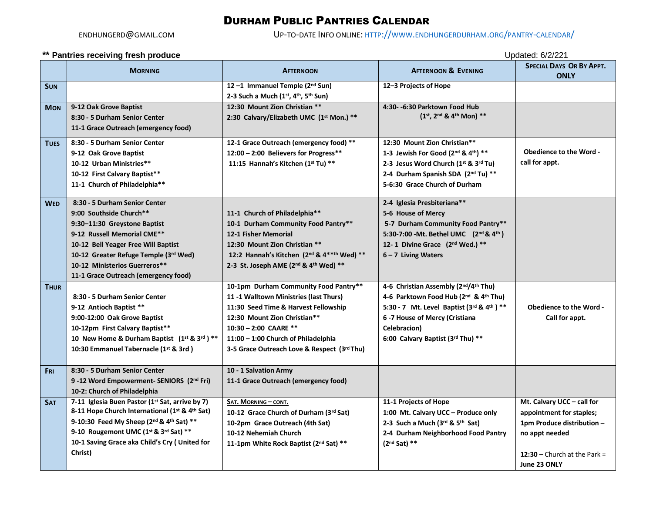## DURHAM PUBLIC PANTRIES CALENDAR

ENDHUNGERD@GMAIL.COM UP-TO-DATE INFO ONLINE: HTTP://WWW.[ENDHUNGERDURHAM](http://www.endhungerdurham.org/pantry-calendar/).ORG/PANTRY-CALENDAR/

## **\*\* Pantries receiving fresh produce** Updated: 6/2/221

|             | Pantries receiving fresh produce<br>Opualeu. O Z Z Z                                                                                                                                                                                                                             |                                                                                                                                                                                                                                                                        |                                                                                                                                                                                                                   |                                                                                                                                                        |  |
|-------------|----------------------------------------------------------------------------------------------------------------------------------------------------------------------------------------------------------------------------------------------------------------------------------|------------------------------------------------------------------------------------------------------------------------------------------------------------------------------------------------------------------------------------------------------------------------|-------------------------------------------------------------------------------------------------------------------------------------------------------------------------------------------------------------------|--------------------------------------------------------------------------------------------------------------------------------------------------------|--|
|             | <b>MORNING</b>                                                                                                                                                                                                                                                                   | <b>AFTERNOON</b>                                                                                                                                                                                                                                                       | <b>AFTERNOON &amp; EVENING</b>                                                                                                                                                                                    | <b>SPECIAL DAYS OR BY APPT.</b><br><b>ONLY</b>                                                                                                         |  |
| <b>SUN</b>  |                                                                                                                                                                                                                                                                                  | 12-1 Immanuel Temple (2nd Sun)<br>2-3 Such a Much (1st, 4th, 5th Sun)                                                                                                                                                                                                  | 12-3 Projects of Hope                                                                                                                                                                                             |                                                                                                                                                        |  |
| <b>MON</b>  | 9-12 Oak Grove Baptist<br>8:30 - 5 Durham Senior Center<br>11-1 Grace Outreach (emergency food)                                                                                                                                                                                  | 12:30 Mount Zion Christian **<br>2:30 Calvary/Elizabeth UMC (1st Mon.) **                                                                                                                                                                                              | 4:30- -6:30 Parktown Food Hub<br>$(1^{st}, 2^{nd} 8, 4^{th} $ Mon) **                                                                                                                                             |                                                                                                                                                        |  |
| <b>TUES</b> | 8:30 - 5 Durham Senior Center<br>9-12 Oak Grove Baptist<br>10-12 Urban Ministries**<br>10-12 First Calvary Baptist**<br>11-1 Church of Philadelphia**                                                                                                                            | 12-1 Grace Outreach (emergency food) **<br>12:00 - 2:00 Believers for Progress**<br>11:15 Hannah's Kitchen (1st Tu) **                                                                                                                                                 | 12:30 Mount Zion Christian**<br>1-3 Jewish For Good (2nd & 4th) **<br>2-3 Jesus Word Church (1st & 3rd Tu)<br>2-4 Durham Spanish SDA (2nd Tu) **<br>5-6:30 Grace Church of Durham                                 | <b>Obedience to the Word -</b><br>call for appt.                                                                                                       |  |
| <b>WED</b>  | 8:30 - 5 Durham Senior Center<br>9:00 Southside Church**<br>9:30-11:30 Greystone Baptist<br>9-12 Russell Memorial CME**<br>10-12 Bell Yeager Free Will Baptist<br>10-12 Greater Refuge Temple (3rd Wed)<br>10-12 Ministerios Guerreros**<br>11-1 Grace Outreach (emergency food) | 11-1 Church of Philadelphia**<br>10-1 Durham Community Food Pantry**<br>12-1 Fisher Memorial<br>12:30 Mount Zion Christian **<br>12:2 Hannah's Kitchen (2nd & 4**th Wed) **<br>2-3 St. Joseph AME (2nd & 4th Wed) **                                                   | 2-4 Iglesia Presbiteriana**<br>5-6 House of Mercy<br>5-7 Durham Community Food Pantry**<br>5:30-7:00 - Mt. Bethel UMC (2nd & 4th)<br>12-1 Divine Grace (2nd Wed.) **<br>$6 - 7$ Living Waters                     |                                                                                                                                                        |  |
| <b>THUR</b> | 8:30 - 5 Durham Senior Center<br>9-12 Antioch Baptist **<br>9:00-12:00 Oak Grove Baptist<br>10-12pm First Calvary Baptist**<br>10 New Home & Durham Baptist (1st & 3rd) **<br>10:30 Emmanuel Tabernacle (1st & 3rd)                                                              | 10-1pm Durham Community Food Pantry**<br>11 -1 Walltown Ministries (last Thurs)<br>11:30 Seed Time & Harvest Fellowship<br>12:30 Mount Zion Christian**<br>10:30 - 2:00 CAARE **<br>11:00 - 1:00 Church of Philadelphia<br>3-5 Grace Outreach Love & Respect (3rd Thu) | 4-6 Christian Assembly (2nd/4th Thu)<br>4-6 Parktown Food Hub (2nd & 4th Thu)<br>5:30 - 7 Mt. Level Baptist (3rd & 4th ) **<br>6-7 House of Mercy (Cristiana<br>Celebracion)<br>6:00 Calvary Baptist (3rd Thu) ** | <b>Obedience to the Word -</b><br>Call for appt.                                                                                                       |  |
| Fri         | 8:30 - 5 Durham Senior Center<br>9-12 Word Empowerment- SENIORS (2nd Fri)<br>10-2: Church of Philadelphia                                                                                                                                                                        | 10 - 1 Salvation Army<br>11-1 Grace Outreach (emergency food)                                                                                                                                                                                                          |                                                                                                                                                                                                                   |                                                                                                                                                        |  |
| <b>SAT</b>  | 7-11 Iglesia Buen Pastor (1st Sat, arrive by 7)<br>8-11 Hope Church International (1st & 4th Sat)<br>9-10:30 Feed My Sheep (2nd & 4th Sat) **<br>9-10 Rougemont UMC (1st & 3rd Sat) **<br>10-1 Saving Grace aka Child's Cry ( United for<br>Christ)                              | SAT. MORNING - CONT.<br>10-12 Grace Church of Durham (3rd Sat)<br>10-2pm Grace Outreach (4th Sat)<br>10-12 Nehemiah Church<br>11-1pm White Rock Baptist (2nd Sat) **                                                                                                   | 11-1 Projects of Hope<br>1:00 Mt. Calvary UCC - Produce only<br>2-3 Such a Much (3rd & 5th Sat)<br>2-4 Durham Neighborhood Food Pantry<br>$(2nd Sat) **$                                                          | Mt. Calvary UCC - call for<br>appointment for staples;<br>1pm Produce distribution -<br>no appt needed<br>12:30 – Church at the Park =<br>June 23 ONLY |  |